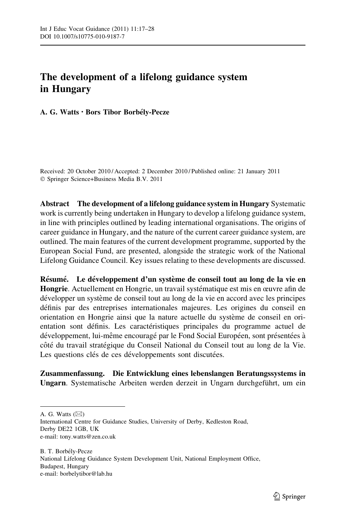# The development of a lifelong guidance system in Hungary

A. G. Watts · Bors Tibor Borbély-Pecze

Received: 20 October 2010 / Accepted: 2 December 2010 / Published online: 21 January 2011 - Springer Science+Business Media B.V. 2011

Abstract The development of a lifelong guidance system in Hungary Systematic work is currently being undertaken in Hungary to develop a lifelong guidance system, in line with principles outlined by leading international organisations. The origins of career guidance in Hungary, and the nature of the current career guidance system, are outlined. The main features of the current development programme, supported by the European Social Fund, are presented, alongside the strategic work of the National Lifelong Guidance Council. Key issues relating to these developments are discussed.

Résumé. Le développement d'un système de conseil tout au long de la vie en Hongrie. Actuellement en Hongrie, un travail systématique est mis en œuvre afin de développer un système de conseil tout au long de la vie en accord avec les principes de´finis par des entreprises internationales majeures. Les origines du conseil en orientation en Hongrie ainsi que la nature actuelle du système de conseil en orientation sont définis. Les caractéristiques principales du programme actuel de développement, lui-même encouragé par le Fond Social Européen, sont présentées à côté du travail stratégique du Conseil National du Conseil tout au long de la Vie. Les questions clés de ces développements sont discutées.

Zusammenfassung. Die Entwicklung eines lebenslangen Beratungssystems in Ungarn. Systematische Arbeiten werden derzeit in Ungarn durchgeführt, um ein

A. G. Watts  $(\boxtimes)$ 

International Centre for Guidance Studies, University of Derby, Kedleston Road, Derby DE22 1GB, UK e-mail: tony.watts@zen.co.uk

B. T. Borbély-Pecze National Lifelong Guidance System Development Unit, National Employment Office, Budapest, Hungary e-mail: borbelytibor@lab.hu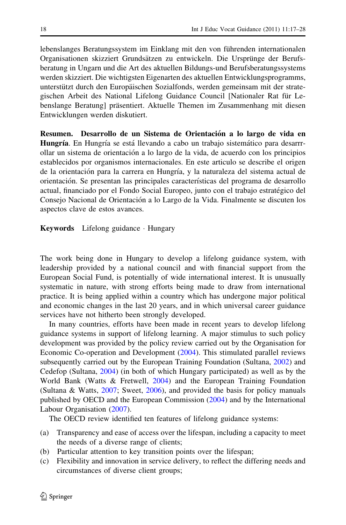lebenslanges Beratungssystem im Einklang mit den von führenden internationalen Organisationen skizziert Grundsätzen zu entwickeln. Die Ursprünge der Berufsberatung in Ungarn und die Art des aktuellen Bildungs-und Berufsberatungssystems werden skizziert. Die wichtigsten Eigenarten des aktuellen Entwicklungsprogramms, unterstützt durch den Europäischen Sozialfonds, werden gemeinsam mit der strategischen Arbeit des National Lifelong Guidance Council [Nationaler Rat für Lebenslange Beratung] präsentiert. Aktuelle Themen im Zusammenhang mit diesen Entwicklungen werden diskutiert.

Resumen. Desarrollo de un Sistema de Orientación a lo largo de vida en Hungría. En Hungría se está llevando a cabo un trabajo sistemático para desarrrollar un sistema de orientacio´n a lo largo de la vida, de acuerdo con los principios establecidos por organismos internacionales. En este articulo se describe el origen de la orientación para la carrera en Hungría, y la naturaleza del sistema actual de orientación. Se presentan las principales características del programa de desarrollo actual, financiado por el Fondo Social Europeo, junto con el trabajo estratégico del Consejo Nacional de Orientación a lo Largo de la Vida. Finalmente se discuten los aspectos clave de estos avances.

Keywords Lifelong guidance · Hungary

The work being done in Hungary to develop a lifelong guidance system, with leadership provided by a national council and with financial support from the European Social Fund, is potentially of wide international interest. It is unusually systematic in nature, with strong efforts being made to draw from international practice. It is being applied within a country which has undergone major political and economic changes in the last 20 years, and in which universal career guidance services have not hitherto been strongly developed.

In many countries, efforts have been made in recent years to develop lifelong guidance systems in support of lifelong learning. A major stimulus to such policy development was provided by the policy review carried out by the Organisation for Economic Co-operation and Development ([2004\)](#page-11-0). This stimulated parallel reviews subsequently carried out by the European Training Foundation (Sultana, [2002\)](#page-11-0) and Cedefop (Sultana, [2004](#page-11-0)) (in both of which Hungary participated) as well as by the World Bank (Watts & Fretwell, [2004\)](#page-11-0) and the European Training Foundation (Sultana & Watts, [2007;](#page-11-0) Sweet, [2006](#page-11-0)), and provided the basis for policy manuals published by OECD and the European Commission ([2004\)](#page-11-0) and by the International Labour Organisation ([2007\)](#page-11-0).

The OECD review identified ten features of lifelong guidance systems:

- (a) Transparency and ease of access over the lifespan, including a capacity to meet the needs of a diverse range of clients;
- (b) Particular attention to key transition points over the lifespan;
- (c) Flexibility and innovation in service delivery, to reflect the differing needs and circumstances of diverse client groups;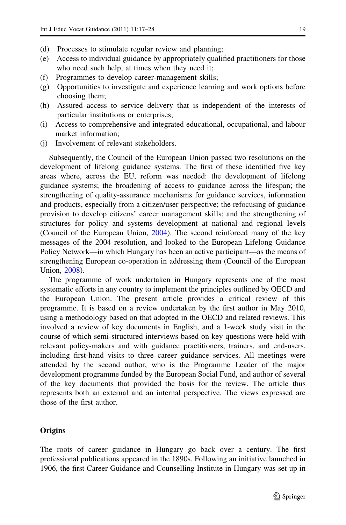- (d) Processes to stimulate regular review and planning;
- (e) Access to individual guidance by appropriately qualified practitioners for those who need such help, at times when they need it;
- (f) Programmes to develop career-management skills;
- (g) Opportunities to investigate and experience learning and work options before choosing them;
- (h) Assured access to service delivery that is independent of the interests of particular institutions or enterprises;
- (i) Access to comprehensive and integrated educational, occupational, and labour market information;
- (j) Involvement of relevant stakeholders.

Subsequently, the Council of the European Union passed two resolutions on the development of lifelong guidance systems. The first of these identified five key areas where, across the EU, reform was needed: the development of lifelong guidance systems; the broadening of access to guidance across the lifespan; the strengthening of quality-assurance mechanisms for guidance services, information and products, especially from a citizen/user perspective; the refocusing of guidance provision to develop citizens' career management skills; and the strengthening of structures for policy and systems development at national and regional levels (Council of the European Union, [2004\)](#page-10-0). The second reinforced many of the key messages of the 2004 resolution, and looked to the European Lifelong Guidance Policy Network—in which Hungary has been an active participant—as the means of strengthening European co-operation in addressing them (Council of the European Union, [2008\)](#page-11-0).

The programme of work undertaken in Hungary represents one of the most systematic efforts in any country to implement the principles outlined by OECD and the European Union. The present article provides a critical review of this programme. It is based on a review undertaken by the first author in May 2010, using a methodology based on that adopted in the OECD and related reviews. This involved a review of key documents in English, and a 1-week study visit in the course of which semi-structured interviews based on key questions were held with relevant policy-makers and with guidance practitioners, trainers, and end-users, including first-hand visits to three career guidance services. All meetings were attended by the second author, who is the Programme Leader of the major development programme funded by the European Social Fund, and author of several of the key documents that provided the basis for the review. The article thus represents both an external and an internal perspective. The views expressed are those of the first author.

# **Origins**

The roots of career guidance in Hungary go back over a century. The first professional publications appeared in the 1890s. Following an initiative launched in 1906, the first Career Guidance and Counselling Institute in Hungary was set up in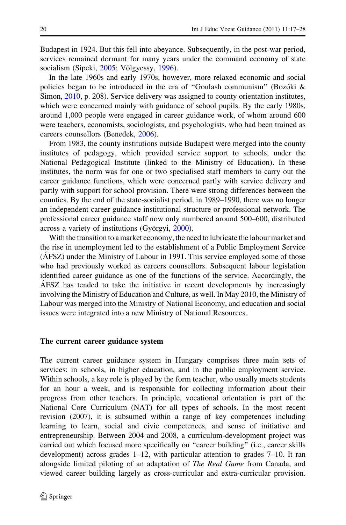Budapest in 1924. But this fell into abeyance. Subsequently, in the post-war period, services remained dormant for many years under the command economy of state socialism (Sipeki, [2005;](#page-11-0) Völgyessy, [1996\)](#page-11-0).

In the late 1960s and early 1970s, however, more relaxed economic and social policies began to be introduced in the era of "Goulash communism" (Bozóki & Simon, [2010](#page-10-0), p. 208). Service delivery was assigned to county orientation institutes, which were concerned mainly with guidance of school pupils. By the early 1980s, around 1,000 people were engaged in career guidance work, of whom around 600 were teachers, economists, sociologists, and psychologists, who had been trained as careers counsellors (Benedek, [2006\)](#page-10-0).

From 1983, the county institutions outside Budapest were merged into the county institutes of pedagogy, which provided service support to schools, under the National Pedagogical Institute (linked to the Ministry of Education). In these institutes, the norm was for one or two specialised staff members to carry out the career guidance functions, which were concerned partly with service delivery and partly with support for school provision. There were strong differences between the counties. By the end of the state-socialist period, in 1989–1990, there was no longer an independent career guidance institutional structure or professional network. The professional career guidance staff now only numbered around 500–600, distributed across a variety of institutions (Györgyi, [2000](#page-11-0)).

With the transition to a market economy, the need to lubricate the labour market and the rise in unemployment led to the establishment of a Public Employment Service  $(AFSZ)$  under the Ministry of Labour in 1991. This service employed some of those who had previously worked as careers counsellors. Subsequent labour legislation identified career guidance as one of the functions of the service. Accordingly, the AFSZ has tended to take the initiative in recent developments by increasingly involving the Ministry of Education and Culture, as well. In May 2010, the Ministry of Labour was merged into the Ministry of National Economy, and education and social issues were integrated into a new Ministry of National Resources.

## The current career guidance system

The current career guidance system in Hungary comprises three main sets of services: in schools, in higher education, and in the public employment service. Within schools, a key role is played by the form teacher, who usually meets students for an hour a week, and is responsible for collecting information about their progress from other teachers. In principle, vocational orientation is part of the National Core Curriculum (NAT) for all types of schools. In the most recent revision (2007), it is subsumed within a range of key competences including learning to learn, social and civic competences, and sense of initiative and entrepreneurship. Between 2004 and 2008, a curriculum-development project was carried out which focused more specifically on ''career building'' (i.e., career skills development) across grades 1–12, with particular attention to grades 7–10. It ran alongside limited piloting of an adaptation of The Real Game from Canada, and viewed career building largely as cross-curricular and extra-curricular provision.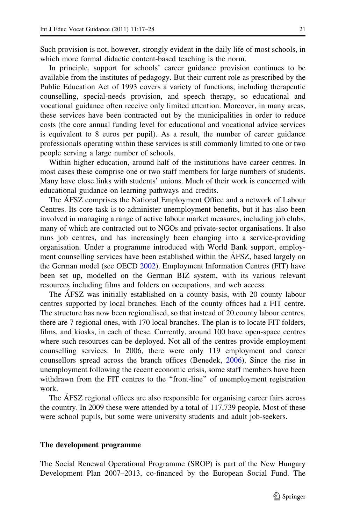Such provision is not, however, strongly evident in the daily life of most schools, in which more formal didactic content-based teaching is the norm.

In principle, support for schools' career guidance provision continues to be available from the institutes of pedagogy. But their current role as prescribed by the Public Education Act of 1993 covers a variety of functions, including therapeutic counselling, special-needs provision, and speech therapy, so educational and vocational guidance often receive only limited attention. Moreover, in many areas, these services have been contracted out by the municipalities in order to reduce costs (the core annual funding level for educational and vocational advice services is equivalent to 8 euros per pupil). As a result, the number of career guidance professionals operating within these services is still commonly limited to one or two people serving a large number of schools.

Within higher education, around half of the institutions have career centres. In most cases these comprise one or two staff members for large numbers of students. Many have close links with students' unions. Much of their work is concerned with educational guidance on learning pathways and credits.

The AFSZ comprises the National Employment Office and a network of Labour Centres. Its core task is to administer unemployment benefits, but it has also been involved in managing a range of active labour market measures, including job clubs, many of which are contracted out to NGOs and private-sector organisations. It also runs job centres, and has increasingly been changing into a service-providing organisation. Under a programme introduced with World Bank support, employment counselling services have been established within the AFSZ, based largely on the German model (see OECD [2002\)](#page-11-0). Employment Information Centres (FIT) have been set up, modelled on the German BIZ system, with its various relevant resources including films and folders on occupations, and web access.

The AFSZ was initially established on a county basis, with 20 county labour centres supported by local branches. Each of the county offices had a FIT centre. The structure has now been regionalised, so that instead of 20 county labour centres, there are 7 regional ones, with 170 local branches. The plan is to locate FIT folders, films, and kiosks, in each of these. Currently, around 100 have open-space centres where such resources can be deployed. Not all of the centres provide employment counselling services: In 2006, there were only 119 employment and career counsellors spread across the branch offices (Benedek, [2006](#page-10-0)). Since the rise in unemployment following the recent economic crisis, some staff members have been withdrawn from the FIT centres to the "front-line" of unemployment registration work.

The AFSZ regional offices are also responsible for organising career fairs across the country. In 2009 these were attended by a total of 117,739 people. Most of these were school pupils, but some were university students and adult job-seekers.

#### The development programme

The Social Renewal Operational Programme (SROP) is part of the New Hungary Development Plan 2007–2013, co-financed by the European Social Fund. The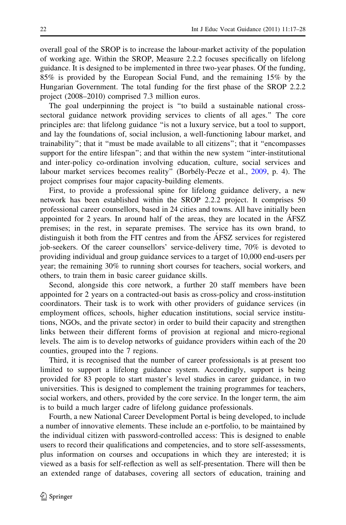overall goal of the SROP is to increase the labour-market activity of the population of working age. Within the SROP, Measure 2.2.2 focuses specifically on lifelong guidance. It is designed to be implemented in three two-year phases. Of the funding, 85% is provided by the European Social Fund, and the remaining 15% by the Hungarian Government. The total funding for the first phase of the SROP 2.2.2 project (2008–2010) comprised 7.3 million euros.

The goal underpinning the project is ''to build a sustainable national crosssectoral guidance network providing services to clients of all ages.'' The core principles are: that lifelong guidance ''is not a luxury service, but a tool to support, and lay the foundations of, social inclusion, a well-functioning labour market, and trainability''; that it ''must be made available to all citizens''; that it ''encompasses support for the entire lifespan''; and that within the new system ''inter-institutional and inter-policy co-ordination involving education, culture, social services and labour market services becomes reality" (Borbély-Pecze et al., [2009](#page-10-0), p. 4). The project comprises four major capacity-building elements.

First, to provide a professional spine for lifelong guidance delivery, a new network has been established within the SROP 2.2.2 project. It comprises 50 professional career counsellors, based in 24 cities and towns. All have initially been appointed for 2 years. In around half of the areas, they are located in the  $\angle$ AFSZ premises; in the rest, in separate premises. The service has its own brand, to distinguish it both from the FIT centres and from the AFSZ services for registered job-seekers. Of the career counsellors' service-delivery time, 70% is devoted to providing individual and group guidance services to a target of 10,000 end-users per year; the remaining 30% to running short courses for teachers, social workers, and others, to train them in basic career guidance skills.

Second, alongside this core network, a further 20 staff members have been appointed for 2 years on a contracted-out basis as cross-policy and cross-institution coordinators. Their task is to work with other providers of guidance services (in employment offices, schools, higher education institutions, social service institutions, NGOs, and the private sector) in order to build their capacity and strengthen links between their different forms of provision at regional and micro-regional levels. The aim is to develop networks of guidance providers within each of the 20 counties, grouped into the 7 regions.

Third, it is recognised that the number of career professionals is at present too limited to support a lifelong guidance system. Accordingly, support is being provided for 83 people to start master's level studies in career guidance, in two universities. This is designed to complement the training programmes for teachers, social workers, and others, provided by the core service. In the longer term, the aim is to build a much larger cadre of lifelong guidance professionals.

Fourth, a new National Career Development Portal is being developed, to include a number of innovative elements. These include an e-portfolio, to be maintained by the individual citizen with password-controlled access: This is designed to enable users to record their qualifications and competencies, and to store self-assessments, plus information on courses and occupations in which they are interested; it is viewed as a basis for self-reflection as well as self-presentation. There will then be an extended range of databases, covering all sectors of education, training and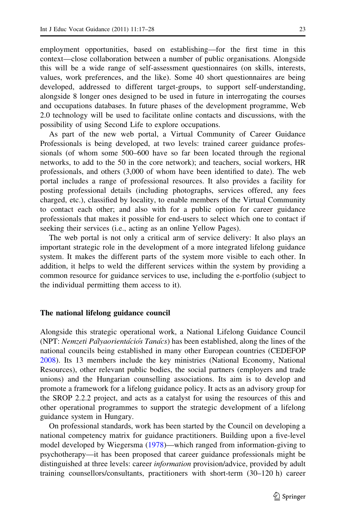employment opportunities, based on establishing—for the first time in this context—close collaboration between a number of public organisations. Alongside this will be a wide range of self-assessment questionnaires (on skills, interests, values, work preferences, and the like). Some 40 short questionnaires are being developed, addressed to different target-groups, to support self-understanding, alongside 8 longer ones designed to be used in future in interrogating the courses and occupations databases. In future phases of the development programme, Web 2.0 technology will be used to facilitate online contacts and discussions, with the possibility of using Second Life to explore occupations.

As part of the new web portal, a Virtual Community of Career Guidance Professionals is being developed, at two levels: trained career guidance professionals (of whom some 500–600 have so far been located through the regional networks, to add to the 50 in the core network); and teachers, social workers, HR professionals, and others (3,000 of whom have been identified to date). The web portal includes a range of professional resources. It also provides a facility for posting professional details (including photographs, services offered, any fees charged, etc.), classified by locality, to enable members of the Virtual Community to contact each other; and also with for a public option for career guidance professionals that makes it possible for end-users to select which one to contact if seeking their services (i.e., acting as an online Yellow Pages).

The web portal is not only a critical arm of service delivery: It also plays an important strategic role in the development of a more integrated lifelong guidance system. It makes the different parts of the system more visible to each other. In addition, it helps to weld the different services within the system by providing a common resource for guidance services to use, including the e-portfolio (subject to the individual permitting them access to it).

## The national lifelong guidance council

Alongside this strategic operational work, a National Lifelong Guidance Council (NPT: Nemzeti Pályaorientációs Tanács) has been established, along the lines of the national councils being established in many other European countries (CEDEFOP [2008\)](#page-10-0). Its 13 members include the key ministries (National Economy, National Resources), other relevant public bodies, the social partners (employers and trade unions) and the Hungarian counselling associations. Its aim is to develop and promote a framework for a lifelong guidance policy. It acts as an advisory group for the SROP 2.2.2 project, and acts as a catalyst for using the resources of this and other operational programmes to support the strategic development of a lifelong guidance system in Hungary.

On professional standards, work has been started by the Council on developing a national competency matrix for guidance practitioners. Building upon a five-level model developed by Wiegersma [\(1978](#page-11-0))—which ranged from information-giving to psychotherapy—it has been proposed that career guidance professionals might be distinguished at three levels: career information provision/advice, provided by adult training counsellors/consultants, practitioners with short-term (30–120 h) career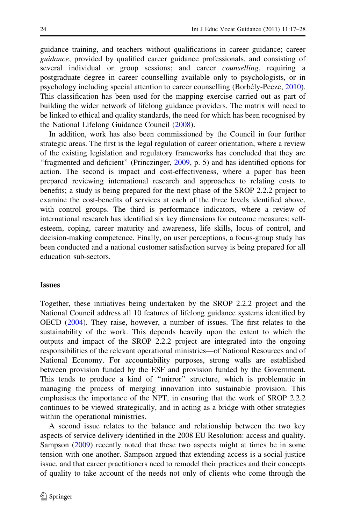guidance training, and teachers without qualifications in career guidance; career guidance, provided by qualified career guidance professionals, and consisting of several individual or group sessions; and career counselling, requiring a postgraduate degree in career counselling available only to psychologists, or in psychology including special attention to career counselling (Borbély-Pecze, [2010\)](#page-10-0). This classification has been used for the mapping exercise carried out as part of building the wider network of lifelong guidance providers. The matrix will need to be linked to ethical and quality standards, the need for which has been recognised by the National Lifelong Guidance Council [\(2008](#page-11-0)).

In addition, work has also been commissioned by the Council in four further strategic areas. The first is the legal regulation of career orientation, where a review of the existing legislation and regulatory frameworks has concluded that they are "fragmented and deficient" (Princzinger, [2009](#page-11-0), p. 5) and has identified options for action. The second is impact and cost-effectiveness, where a paper has been prepared reviewing international research and approaches to relating costs to benefits; a study is being prepared for the next phase of the SROP 2.2.2 project to examine the cost-benefits of services at each of the three levels identified above, with control groups. The third is performance indicators, where a review of international research has identified six key dimensions for outcome measures: selfesteem, coping, career maturity and awareness, life skills, locus of control, and decision-making competence. Finally, on user perceptions, a focus-group study has been conducted and a national customer satisfaction survey is being prepared for all education sub-sectors.

# Issues

Together, these initiatives being undertaken by the SROP 2.2.2 project and the National Council address all 10 features of lifelong guidance systems identified by OECD ([2004\)](#page-11-0). They raise, however, a number of issues. The first relates to the sustainability of the work. This depends heavily upon the extent to which the outputs and impact of the SROP 2.2.2 project are integrated into the ongoing responsibilities of the relevant operational ministries—of National Resources and of National Economy. For accountability purposes, strong walls are established between provision funded by the ESF and provision funded by the Government. This tends to produce a kind of ''mirror'' structure, which is problematic in managing the process of merging innovation into sustainable provision. This emphasises the importance of the NPT, in ensuring that the work of SROP 2.2.2 continues to be viewed strategically, and in acting as a bridge with other strategies within the operational ministries.

A second issue relates to the balance and relationship between the two key aspects of service delivery identified in the 2008 EU Resolution: access and quality. Sampson ([2009\)](#page-11-0) recently noted that these two aspects might at times be in some tension with one another. Sampson argued that extending access is a social-justice issue, and that career practitioners need to remodel their practices and their concepts of quality to take account of the needs not only of clients who come through the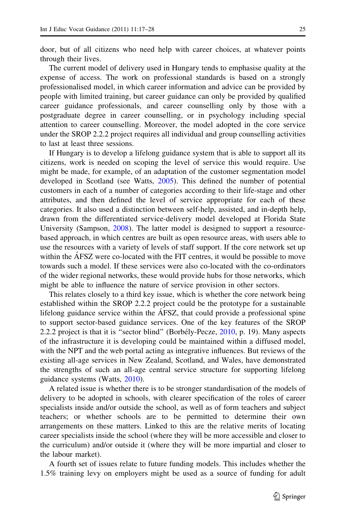door, but of all citizens who need help with career choices, at whatever points through their lives.

The current model of delivery used in Hungary tends to emphasise quality at the expense of access. The work on professional standards is based on a strongly professionalised model, in which career information and advice can be provided by people with limited training, but career guidance can only be provided by qualified career guidance professionals, and career counselling only by those with a postgraduate degree in career counselling, or in psychology including special attention to career counselling. Moreover, the model adopted in the core service under the SROP 2.2.2 project requires all individual and group counselling activities to last at least three sessions.

If Hungary is to develop a lifelong guidance system that is able to support all its citizens, work is needed on scoping the level of service this would require. Use might be made, for example, of an adaptation of the customer segmentation model developed in Scotland (see Watts, [2005\)](#page-11-0). This defined the number of potential customers in each of a number of categories according to their life-stage and other attributes, and then defined the level of service appropriate for each of these categories. It also used a distinction between self-help, assisted, and in-depth help, drawn from the differentiated service-delivery model developed at Florida State University (Sampson, [2008\)](#page-11-0). The latter model is designed to support a resourcebased approach, in which centres are built as open resource areas, with users able to use the resources with a variety of levels of staff support. If the core network set up within the ÁFSZ were co-located with the FIT centres, it would be possible to move towards such a model. If these services were also co-located with the co-ordinators of the wider regional networks, these would provide hubs for those networks, which might be able to influence the nature of service provision in other sectors.

This relates closely to a third key issue, which is whether the core network being established within the SROP 2.2.2 project could be the prototype for a sustainable lifelong guidance service within the AFSZ, that could provide a professional spine to support sector-based guidance services. One of the key features of the SROP 2.2.2 project is that it is "sector blind" (Borbély-Pecze,  $2010$ , p. 19). Many aspects of the infrastructure it is developing could be maintained within a diffused model, with the NPT and the web portal acting as integrative influences. But reviews of the existing all-age services in New Zealand, Scotland, and Wales, have demonstrated the strengths of such an all-age central service structure for supporting lifelong guidance systems (Watts, [2010\)](#page-11-0).

A related issue is whether there is to be stronger standardisation of the models of delivery to be adopted in schools, with clearer specification of the roles of career specialists inside and/or outside the school, as well as of form teachers and subject teachers; or whether schools are to be permitted to determine their own arrangements on these matters. Linked to this are the relative merits of locating career specialists inside the school (where they will be more accessible and closer to the curriculum) and/or outside it (where they will be more impartial and closer to the labour market).

A fourth set of issues relate to future funding models. This includes whether the 1.5% training levy on employers might be used as a source of funding for adult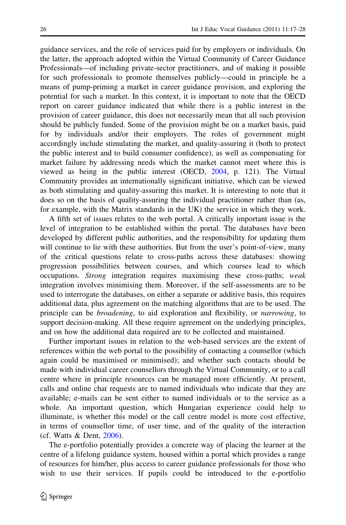guidance services, and the role of services paid for by employers or individuals. On the latter, the approach adopted within the Virtual Community of Career Guidance Professionals—of including private-sector practitioners, and of making it possible for such professionals to promote themselves publicly—could in principle be a means of pump-priming a market in career guidance provision, and exploring the potential for such a market. In this context, it is important to note that the OECD report on career guidance indicated that while there is a public interest in the provision of career guidance, this does not necessarily mean that all such provision should be publicly funded. Some of the provision might be on a market basis, paid for by individuals and/or their employers. The roles of government might accordingly include stimulating the market, and quality-assuring it (both to protect the public interest and to build consumer confidence), as well as compensating for market failure by addressing needs which the market cannot meet where this is viewed as being in the public interest (OECD, [2004](#page-11-0), p. 121). The Virtual Community provides an internationally significant initiative, which can be viewed as both stimulating and quality-assuring this market. It is interesting to note that it does so on the basis of quality-assuring the individual practitioner rather than (as, for example, with the Matrix standards in the UK) the service in which they work.

A fifth set of issues relates to the web portal. A critically important issue is the level of integration to be established within the portal. The databases have been developed by different public authorities, and the responsibility for updating them will continue to lie with these authorities. But from the user's point-of-view, many of the critical questions relate to cross-paths across these databases: showing progression possibilities between courses, and which courses lead to which occupations. Strong integration requires maximising these cross-paths; weak integration involves minimising them. Moreover, if the self-assessments are to be used to interrogate the databases, on either a separate or additive basis, this requires additional data, plus agreement on the matching algorithms that are to be used. The principle can be broadening, to aid exploration and flexibility, or narrowing, to support decision-making. All these require agreement on the underlying principles, and on how the additional data required are to be collected and maintained.

Further important issues in relation to the web-based services are the extent of references within the web portal to the possibility of contacting a counsellor (which again could be maximised or minimised); and whether such contacts should be made with individual career counsellors through the Virtual Community, or to a call centre where in principle resources can be managed more efficiently. At present, calls and online chat requests are to named individuals who indicate that they are available; e-mails can be sent either to named individuals or to the service as a whole. An important question, which Hungarian experience could help to illuminate, is whether this model or the call centre model is more cost effective, in terms of counsellor time, of user time, and of the quality of the interaction (cf. Watts  $&$  Dent, [2006](#page-11-0)).

The e-portfolio potentially provides a concrete way of placing the learner at the centre of a lifelong guidance system, housed within a portal which provides a range of resources for him/her, plus access to career guidance professionals for those who wish to use their services. If pupils could be introduced to the e-portfolio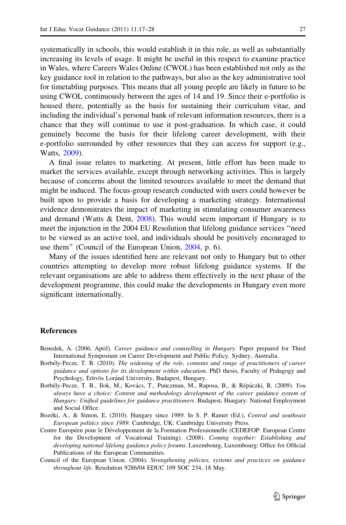<span id="page-10-0"></span>systematically in schools, this would establish it in this role, as well as substantially increasing its levels of usage. It might be useful in this respect to examine practice in Wales, where Careers Wales Online (CWOL) has been established not only as the key guidance tool in relation to the pathways, but also as the key administrative tool for timetabling purposes. This means that all young people are likely in future to be using CWOL continuously between the ages of 14 and 19. Since their e-portfolio is housed there, potentially as the basis for sustaining their curriculum vitae, and including the individual's personal bank of relevant information resources, there is a chance that they will continue to use it post-graduation. In which case, it could genuinely become the basis for their lifelong career development, with their e-portfolio surrounded by other resources that they can access for support (e.g., Watts, [2009](#page-11-0)).

A final issue relates to marketing. At present, little effort has been made to market the services available, except through networking activities. This is largely because of concerns about the limited resources available to meet the demand that might be induced. The focus-group research conducted with users could however be built upon to provide a basis for developing a marketing strategy. International evidence demonstrates the impact of marketing in stimulating consumer awareness and demand (Watts  $&$  Dent, [2008](#page-11-0)). This would seem important if Hungary is to meet the injunction in the 2004 EU Resolution that lifelong guidance services ''need to be viewed as an active tool, and individuals should be positively encouraged to use them'' (Council of the European Union, 2004, p. 6).

Many of the issues identified here are relevant not only to Hungary but to other countries attempting to develop more robust lifelong guidance systems. If the relevant organisations are able to address them effectively in the next phase of the development programme, this could make the developments in Hungary even more significant internationally.

### References

- Benedek, A. (2006, April). Career guidance and counselling in Hungary. Paper prepared for Third International Symposium on Career Development and Public Policy, Sydney, Australia.
- Borbély-Pecze, T. B. (2010). The widening of the role, contents and range of practitioners of career guidance and options for its development within education. PhD thesis, Faculty of Pedagogy and Psychology, Eötvös Loránd University, Budapest, Hungary.
- Borbély-Pecze, T. B., Ilok, M., Kovács, T., Punczman, M., Raposa, B., & Répáczki, R. (2009). You always have a choice: Content and methodology development of the career guidance system of Hungary: Unified guidelines for guidance practitioners. Budapest, Hungary: National Employment and Social Office.
- Bozóki, A., & Simon, E. (2010). Hungary since 1989. In S. P. Ramet (Ed.), Central and southeast European politics since 1989. Cambridge, UK: Cambridge University Press.
- Centre Européen pour le Développement de la Formation Professionnelle (CEDEFOP: European Centre for the Development of Vocational Training). (2008). Coming together: Establishing and developing national lifelong guidance policy forums. Luxembourg, Luxembourg: Office for Official Publications of the European Communities.
- Council of the European Union. (2004). Strengthening policies, systems and practices on guidance throughout life. Resolution 9286/04 EDUC 109 SOC 234, 18 May.